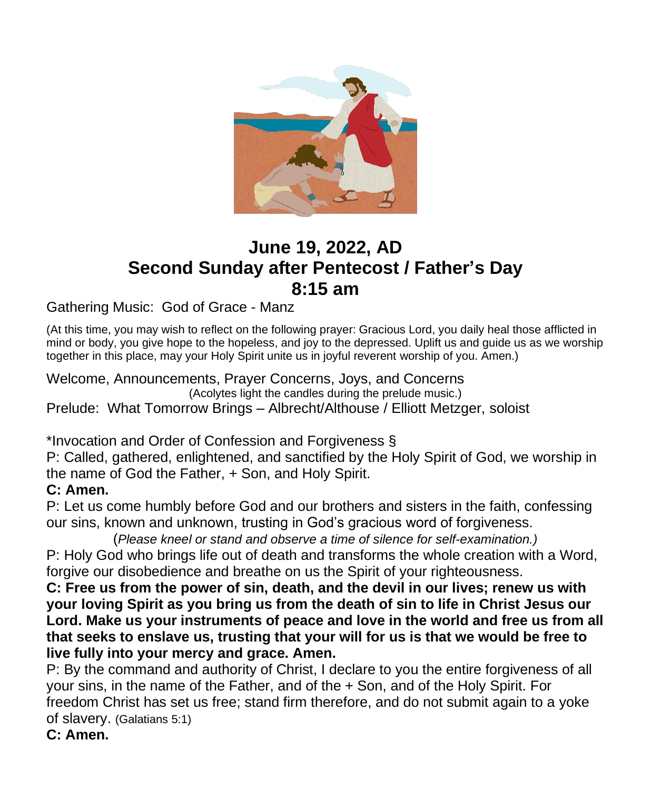

# **June 19, 2022, AD Second Sunday after Pentecost / Father's Day 8:15 am**

Gathering Music: God of Grace - Manz

(At this time, you may wish to reflect on the following prayer: Gracious Lord, you daily heal those afflicted in mind or body, you give hope to the hopeless, and joy to the depressed. Uplift us and quide us as we worship together in this place, may your Holy Spirit unite us in joyful reverent worship of you. Amen.)

Welcome, Announcements, Prayer Concerns, Joys, and Concerns (Acolytes light the candles during the prelude music.) Prelude: What Tomorrow Brings – Albrecht/Althouse / Elliott Metzger, soloist

\*Invocation and Order of Confession and Forgiveness §

P: Called, gathered, enlightened, and sanctified by the Holy Spirit of God, we worship in the name of God the Father, + Son, and Holy Spirit.

## **C: Amen.**

P: Let us come humbly before God and our brothers and sisters in the faith, confessing our sins, known and unknown, trusting in God's gracious word of forgiveness.

(*Please kneel or stand and observe a time of silence for self-examination.)* P: Holy God who brings life out of death and transforms the whole creation with a Word, forgive our disobedience and breathe on us the Spirit of your righteousness.

**C: Free us from the power of sin, death, and the devil in our lives; renew us with your loving Spirit as you bring us from the death of sin to life in Christ Jesus our Lord. Make us your instruments of peace and love in the world and free us from all that seeks to enslave us, trusting that your will for us is that we would be free to live fully into your mercy and grace. Amen.**

P: By the command and authority of Christ, I declare to you the entire forgiveness of all your sins, in the name of the Father, and of the + Son, and of the Holy Spirit. For freedom Christ has set us free; stand firm therefore, and do not submit again to a yoke of slavery. (Galatians 5:1)

**C: Amen.**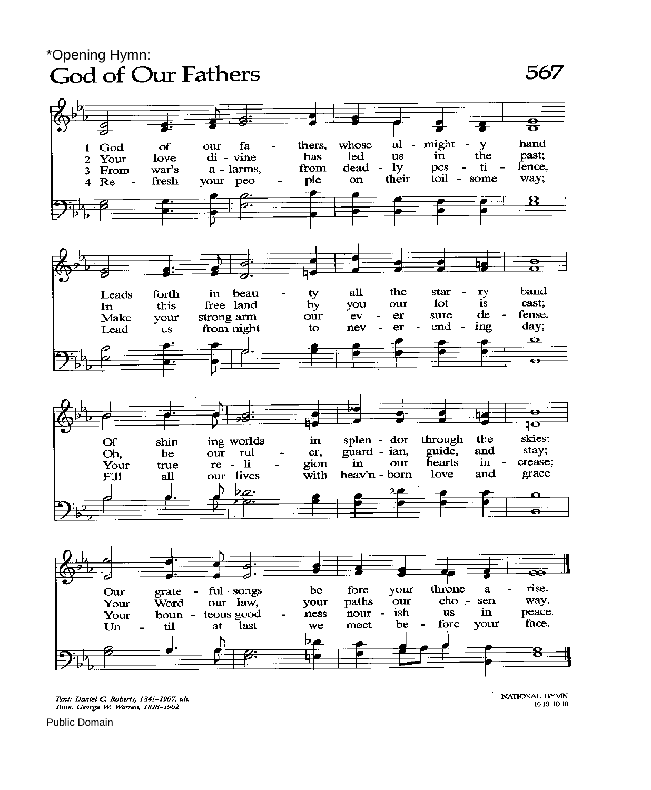# \*Opening Hymn:<br>God of Our Fathers

## 567



Text: Daniel C. Roberts, 1841-1907, alt.<br>Tune: George W. Warren, 1828-1902

NATIONAL HYMN 10 10 10 10

Public Domain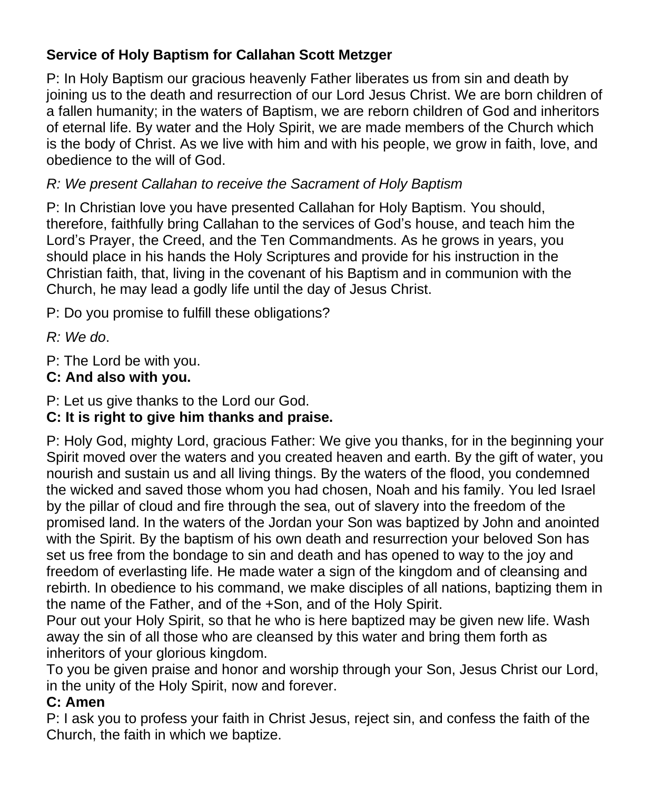## **Service of Holy Baptism for Callahan Scott Metzger**

P: In Holy Baptism our gracious heavenly Father liberates us from sin and death by joining us to the death and resurrection of our Lord Jesus Christ. We are born children of a fallen humanity; in the waters of Baptism, we are reborn children of God and inheritors of eternal life. By water and the Holy Spirit, we are made members of the Church which is the body of Christ. As we live with him and with his people, we grow in faith, love, and obedience to the will of God.

## *R: We present Callahan to receive the Sacrament of Holy Baptism*

P: In Christian love you have presented Callahan for Holy Baptism. You should, therefore, faithfully bring Callahan to the services of God's house, and teach him the Lord's Prayer, the Creed, and the Ten Commandments. As he grows in years, you should place in his hands the Holy Scriptures and provide for his instruction in the Christian faith, that, living in the covenant of his Baptism and in communion with the Church, he may lead a godly life until the day of Jesus Christ.

P: Do you promise to fulfill these obligations?

*R: We do*.

P: The Lord be with you.

## **C: And also with you.**

P: Let us give thanks to the Lord our God.

## **C: It is right to give him thanks and praise.**

P: Holy God, mighty Lord, gracious Father: We give you thanks, for in the beginning your Spirit moved over the waters and you created heaven and earth. By the gift of water, you nourish and sustain us and all living things. By the waters of the flood, you condemned the wicked and saved those whom you had chosen, Noah and his family. You led Israel by the pillar of cloud and fire through the sea, out of slavery into the freedom of the promised land. In the waters of the Jordan your Son was baptized by John and anointed with the Spirit. By the baptism of his own death and resurrection your beloved Son has set us free from the bondage to sin and death and has opened to way to the joy and freedom of everlasting life. He made water a sign of the kingdom and of cleansing and rebirth. In obedience to his command, we make disciples of all nations, baptizing them in the name of the Father, and of the +Son, and of the Holy Spirit.

Pour out your Holy Spirit, so that he who is here baptized may be given new life. Wash away the sin of all those who are cleansed by this water and bring them forth as inheritors of your glorious kingdom.

To you be given praise and honor and worship through your Son, Jesus Christ our Lord, in the unity of the Holy Spirit, now and forever.

## **C: Amen**

P: I ask you to profess your faith in Christ Jesus, reject sin, and confess the faith of the Church, the faith in which we baptize.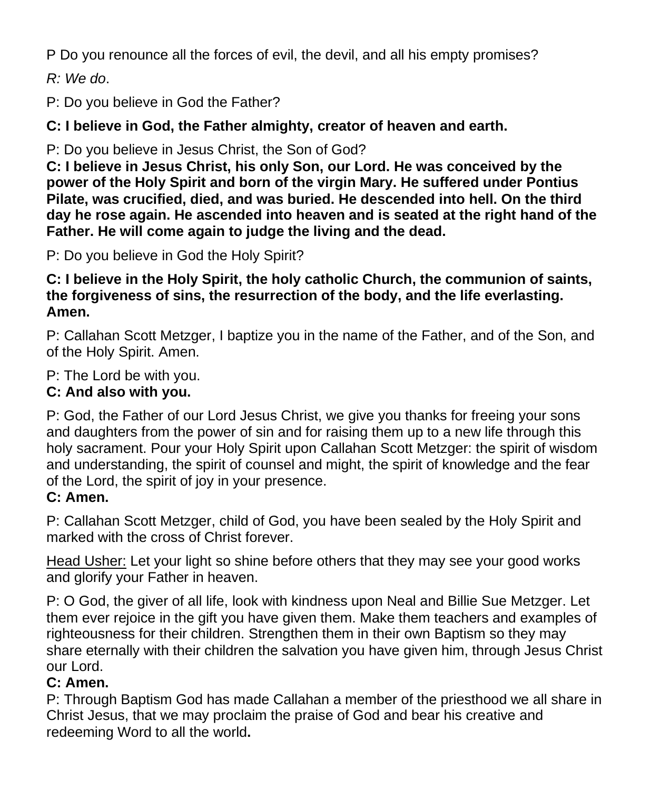P Do you renounce all the forces of evil, the devil, and all his empty promises?

*R: We do*.

P: Do you believe in God the Father?

**C: I believe in God, the Father almighty, creator of heaven and earth.**

P: Do you believe in Jesus Christ, the Son of God?

**C: I believe in Jesus Christ, his only Son, our Lord. He was conceived by the power of the Holy Spirit and born of the virgin Mary. He suffered under Pontius Pilate, was crucified, died, and was buried. He descended into hell. On the third day he rose again. He ascended into heaven and is seated at the right hand of the Father. He will come again to judge the living and the dead.**

P: Do you believe in God the Holy Spirit?

**C: I believe in the Holy Spirit, the holy catholic Church, the communion of saints, the forgiveness of sins, the resurrection of the body, and the life everlasting. Amen.**

P: Callahan Scott Metzger, I baptize you in the name of the Father, and of the Son, and of the Holy Spirit. Amen.

P: The Lord be with you.

## **C: And also with you.**

P: God, the Father of our Lord Jesus Christ, we give you thanks for freeing your sons and daughters from the power of sin and for raising them up to a new life through this holy sacrament. Pour your Holy Spirit upon Callahan Scott Metzger: the spirit of wisdom and understanding, the spirit of counsel and might, the spirit of knowledge and the fear of the Lord, the spirit of joy in your presence.

## **C: Amen.**

P: Callahan Scott Metzger, child of God, you have been sealed by the Holy Spirit and marked with the cross of Christ forever.

Head Usher: Let your light so shine before others that they may see your good works and glorify your Father in heaven.

P: O God, the giver of all life, look with kindness upon Neal and Billie Sue Metzger. Let them ever rejoice in the gift you have given them. Make them teachers and examples of righteousness for their children. Strengthen them in their own Baptism so they may share eternally with their children the salvation you have given him, through Jesus Christ our Lord.

## **C: Amen.**

P: Through Baptism God has made Callahan a member of the priesthood we all share in Christ Jesus, that we may proclaim the praise of God and bear his creative and redeeming Word to all the world**.**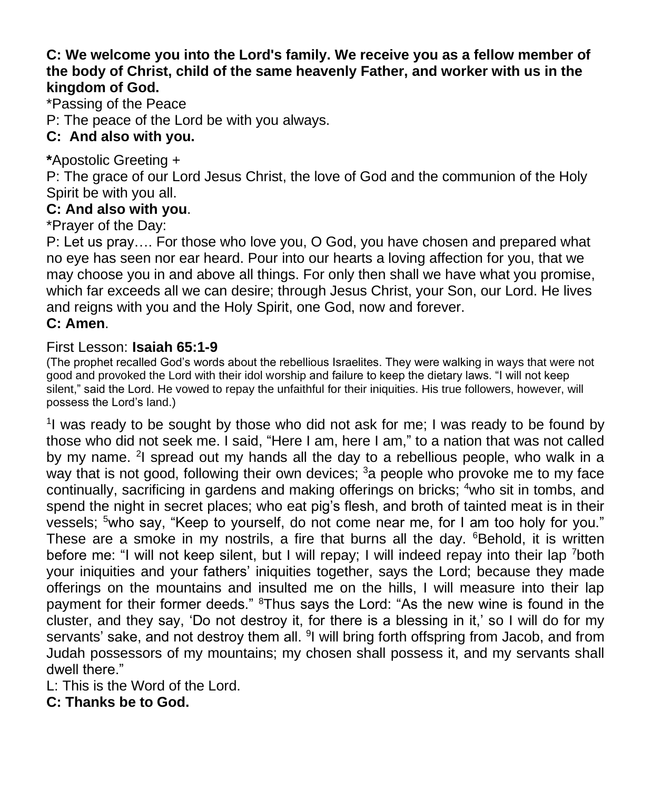#### **C: We welcome you into the Lord's family. We receive you as a fellow member of the body of Christ, child of the same heavenly Father, and worker with us in the kingdom of God.**

\*Passing of the Peace

P: The peace of the Lord be with you always.

## **C: And also with you.**

**\***Apostolic Greeting +

P: The grace of our Lord Jesus Christ, the love of God and the communion of the Holy Spirit be with you all.

#### **C: And also with you**.

\*Prayer of the Day:

P: Let us pray…. For those who love you, O God, you have chosen and prepared what no eye has seen nor ear heard. Pour into our hearts a loving affection for you, that we may choose you in and above all things. For only then shall we have what you promise, which far exceeds all we can desire; through Jesus Christ, your Son, our Lord. He lives and reigns with you and the Holy Spirit, one God, now and forever.

#### **C: Amen**.

#### First Lesson: **Isaiah 65:1-9**

(The prophet recalled God's words about the rebellious Israelites. They were walking in ways that were not good and provoked the Lord with their idol worship and failure to keep the dietary laws. "I will not keep silent," said the Lord. He vowed to repay the unfaithful for their iniquities. His true followers, however, will possess the Lord's land.)

<sup>1</sup>l was ready to be sought by those who did not ask for me; I was ready to be found by those who did not seek me. I said, "Here I am, here I am," to a nation that was not called by my name. <sup>2</sup>I spread out my hands all the day to a rebellious people, who walk in a way that is not good, following their own devices; <sup>3</sup> a people who provoke me to my face continually, sacrificing in gardens and making offerings on bricks; <sup>4</sup>who sit in tombs, and spend the night in secret places; who eat pig's flesh, and broth of tainted meat is in their vessels; <sup>5</sup>who say, "Keep to yourself, do not come near me, for I am too holy for you." These are a smoke in my nostrils, a fire that burns all the day. <sup>6</sup>Behold, it is written before me: "I will not keep silent, but I will repay; I will indeed repay into their lap <sup>7</sup>both your iniquities and your fathers' iniquities together, says the Lord; because they made offerings on the mountains and insulted me on the hills, I will measure into their lap payment for their former deeds." <sup>8</sup>Thus says the Lord: "As the new wine is found in the cluster, and they say, 'Do not destroy it, for there is a blessing in it,' so I will do for my servants' sake, and not destroy them all. <sup>9</sup>I will bring forth offspring from Jacob, and from Judah possessors of my mountains; my chosen shall possess it, and my servants shall dwell there."

L: This is the Word of the Lord.

**C: Thanks be to God.**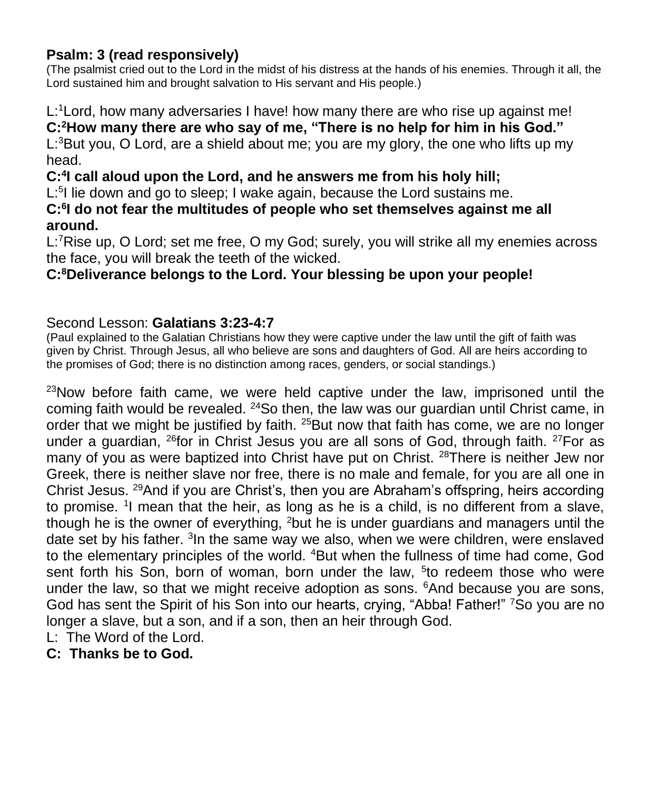#### **Psalm: 3 (read responsively)**

(The psalmist cried out to the Lord in the midst of his distress at the hands of his enemies. Through it all, the Lord sustained him and brought salvation to His servant and His people.)

L:<sup>1</sup>Lord, how many adversaries I have! how many there are who rise up against me! **C:<sup>2</sup>How many there are who say of me, "There is no help for him in his God."**  $L<sup>3</sup>$ But you, O Lord, are a shield about me; you are my glory, the one who lifts up my head.

**C:<sup>4</sup> I call aloud upon the Lord, and he answers me from his holy hill;**

L:<sup>5</sup>I lie down and go to sleep; I wake again, because the Lord sustains me.

**C:<sup>6</sup> I do not fear the multitudes of people who set themselves against me all around.**

L:<sup>7</sup>Rise up, O Lord; set me free, O my God; surely, you will strike all my enemies across the face, you will break the teeth of the wicked.

## **C:<sup>8</sup>Deliverance belongs to the Lord. Your blessing be upon your people!**

#### Second Lesson: **Galatians 3:23-4:7**

(Paul explained to the Galatian Christians how they were captive under the law until the gift of faith was given by Christ. Through Jesus, all who believe are sons and daughters of God. All are heirs according to the promises of God; there is no distinction among races, genders, or social standings.)

 $23$ Now before faith came, we were held captive under the law, imprisoned until the coming faith would be revealed. <sup>24</sup>So then, the law was our guardian until Christ came, in order that we might be justified by faith. <sup>25</sup>But now that faith has come, we are no longer under a guardian, <sup>26</sup>for in Christ Jesus you are all sons of God, through faith. <sup>27</sup>For as many of you as were baptized into Christ have put on Christ. <sup>28</sup>There is neither Jew nor Greek, there is neither slave nor free, there is no male and female, for you are all one in Christ Jesus. <sup>29</sup>And if you are Christ's, then you are Abraham's offspring, heirs according to promise. <sup>1</sup>I mean that the heir, as long as he is a child, is no different from a slave, though he is the owner of everything, <sup>2</sup>but he is under guardians and managers until the date set by his father. <sup>3</sup>In the same way we also, when we were children, were enslaved to the elementary principles of the world. <sup>4</sup>But when the fullness of time had come, God sent forth his Son, born of woman, born under the law, <sup>5</sup>to redeem those who were under the law, so that we might receive adoption as sons. <sup>6</sup>And because you are sons, God has sent the Spirit of his Son into our hearts, crying, "Abba! Father!" <sup>7</sup>So you are no longer a slave, but a son, and if a son, then an heir through God.

- L: The Word of the Lord.
- **C: Thanks be to God.**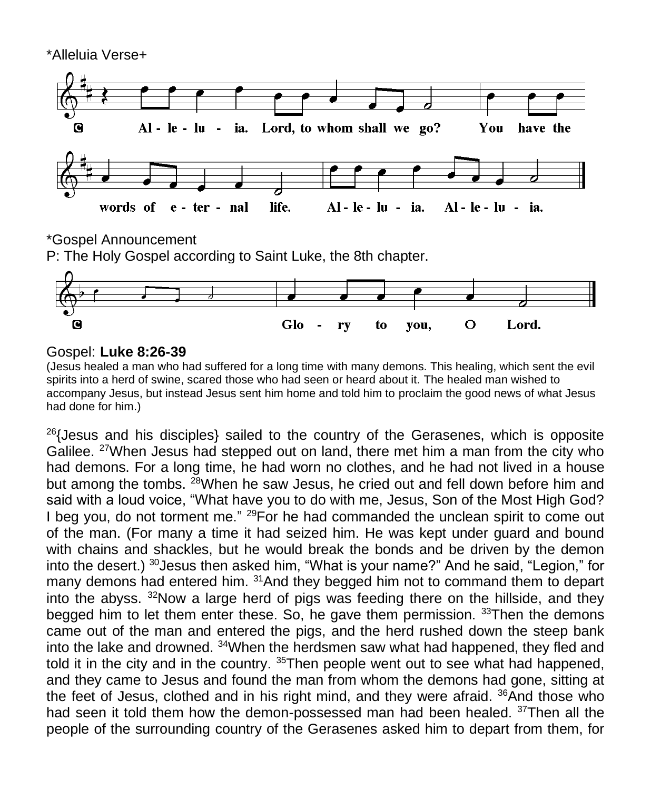

\*Gospel Announcement

P: The Holy Gospel according to Saint Luke, the 8th chapter.



#### Gospel: **Luke 8:26-39**

(Jesus healed a man who had suffered for a long time with many demons. This healing, which sent the evil spirits into a herd of swine, scared those who had seen or heard about it. The healed man wished to accompany Jesus, but instead Jesus sent him home and told him to proclaim the good news of what Jesus had done for him.)

 $26$ {Jesus and his disciples} sailed to the country of the Gerasenes, which is opposite Galilee. <sup>27</sup>When Jesus had stepped out on land, there met him a man from the city who had demons. For a long time, he had worn no clothes, and he had not lived in a house but among the tombs. <sup>28</sup>When he saw Jesus, he cried out and fell down before him and said with a loud voice, "What have you to do with me, Jesus, Son of the Most High God? I beg you, do not torment me." <sup>29</sup> For he had commanded the unclean spirit to come out of the man. (For many a time it had seized him. He was kept under guard and bound with chains and shackles, but he would break the bonds and be driven by the demon into the desert.) <sup>30</sup>Jesus then asked him, "What is your name?" And he said, "Legion," for many demons had entered him. <sup>31</sup>And they begged him not to command them to depart into the abyss.  $32$ Now a large herd of pigs was feeding there on the hillside, and they begged him to let them enter these. So, he gave them permission. <sup>33</sup>Then the demons came out of the man and entered the pigs, and the herd rushed down the steep bank into the lake and drowned. <sup>34</sup>When the herdsmen saw what had happened, they fled and told it in the city and in the country. <sup>35</sup>Then people went out to see what had happened, and they came to Jesus and found the man from whom the demons had gone, sitting at the feet of Jesus, clothed and in his right mind, and they were afraid. <sup>36</sup>And those who had seen it told them how the demon-possessed man had been healed. <sup>37</sup>Then all the people of the surrounding country of the Gerasenes asked him to depart from them, for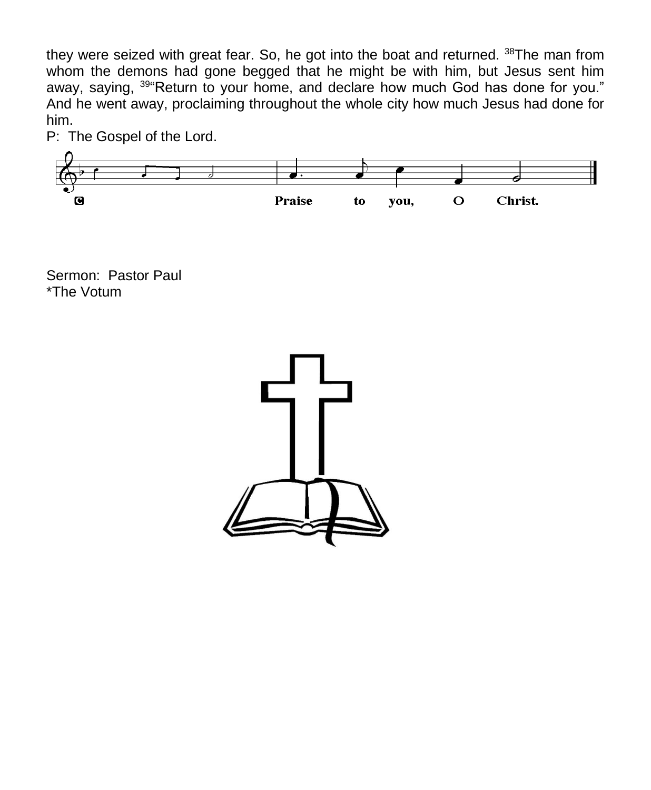they were seized with great fear. So, he got into the boat and returned. <sup>38</sup>The man from whom the demons had gone begged that he might be with him, but Jesus sent him away, saying, <sup>39</sup> Return to your home, and declare how much God has done for you." And he went away, proclaiming throughout the whole city how much Jesus had done for him.



P: The Gospel of the Lord.

Sermon: Pastor Paul \*The Votum

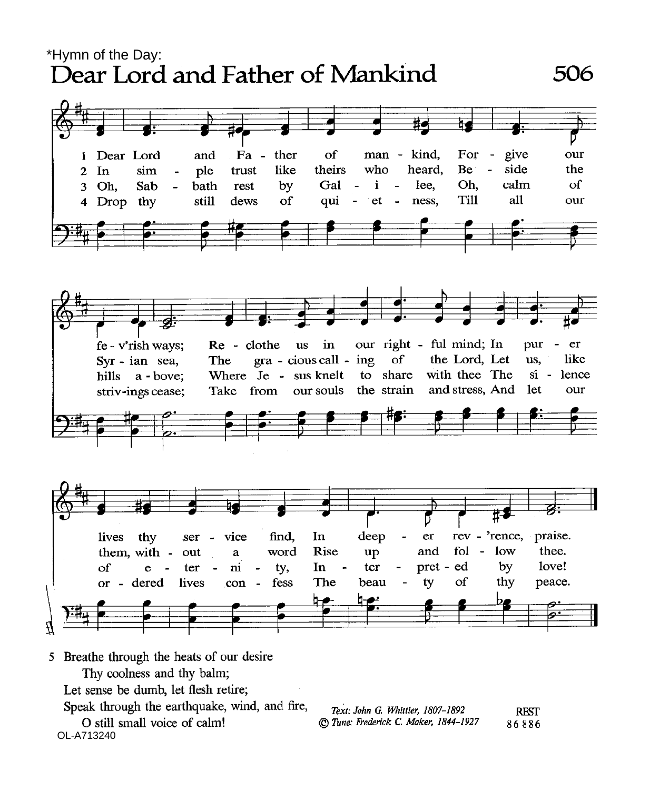\*Hymn of the Day:<br>Dear Lord and Father of Mankind



- Thy coolness and thy balm;
- Let sense be dumb, let flesh retire;
- Speak through the earthquake, wind, and fire,
- O still small voice of calm!<br>OL-A713240

| Text: John G. Whittier, 1807-1892     | <b>REST</b> |
|---------------------------------------|-------------|
| © Tune: Frederick C. Maker, 1844-1927 | 86886       |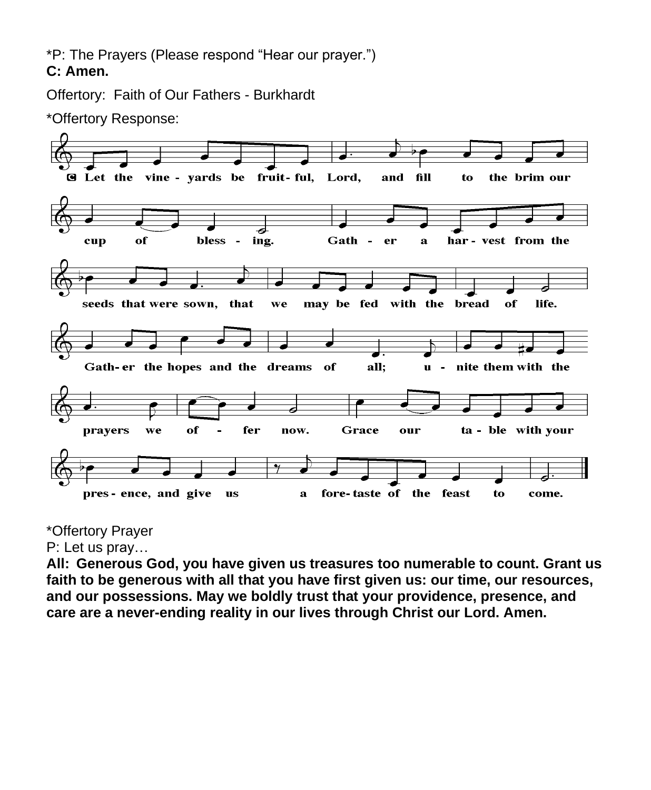\*P: The Prayers (Please respond "Hear our prayer.") **C: Amen.**

Offertory: Faith of Our Fathers - Burkhardt



\*Offertory Response:

## \*Offertory Prayer

P: Let us pray…

**All: Generous God, you have given us treasures too numerable to count. Grant us faith to be generous with all that you have first given us: our time, our resources, and our possessions. May we boldly trust that your providence, presence, and care are a never-ending reality in our lives through Christ our Lord. Amen.**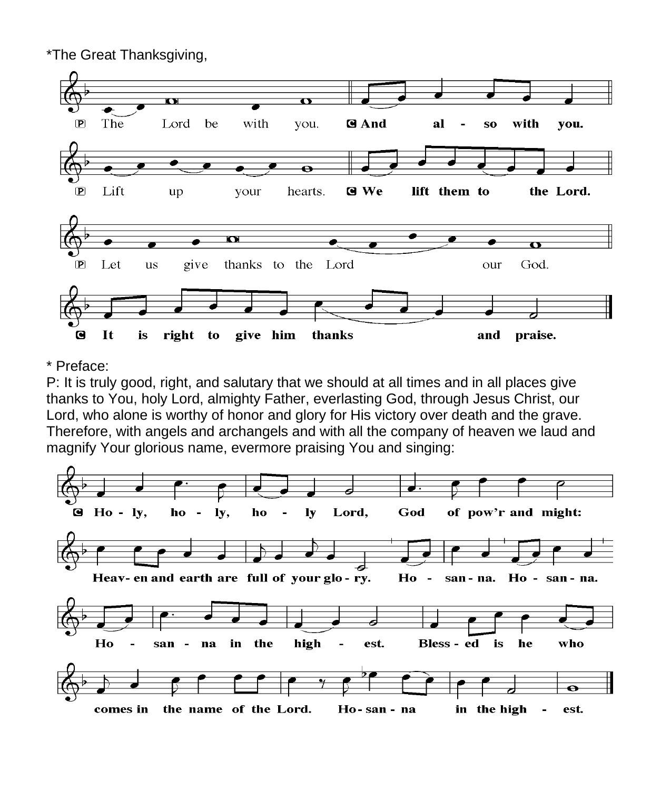

#### \* Preface:

P: It is truly good, right, and salutary that we should at all times and in all places give thanks to You, holy Lord, almighty Father, everlasting God, through Jesus Christ, our Lord, who alone is worthy of honor and glory for His victory over death and the grave. Therefore, with angels and archangels and with all the company of heaven we laud and magnify Your glorious name, evermore praising You and singing:

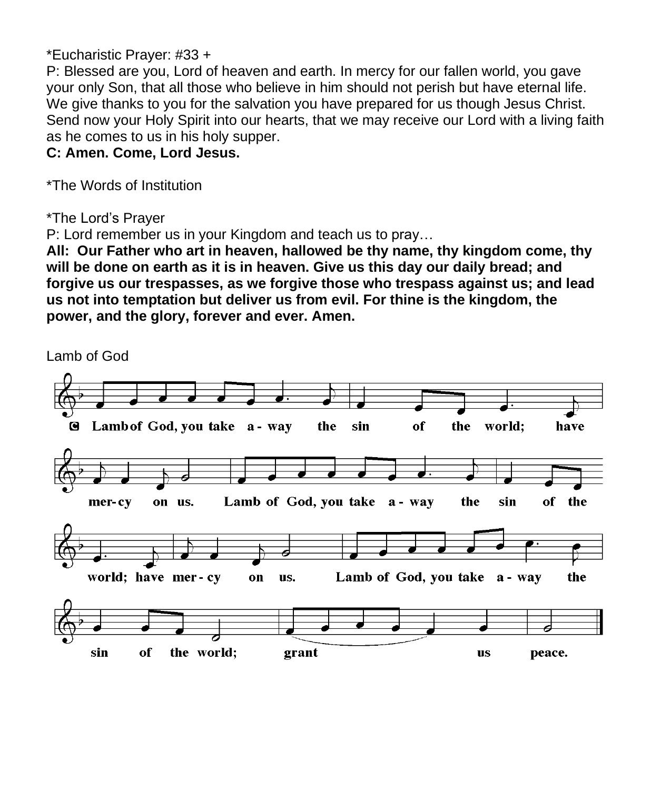#### \*Eucharistic Prayer: #33 +

P: Blessed are you, Lord of heaven and earth. In mercy for our fallen world, you gave your only Son, that all those who believe in him should not perish but have eternal life. We give thanks to you for the salvation you have prepared for us though Jesus Christ. Send now your Holy Spirit into our hearts, that we may receive our Lord with a living faith as he comes to us in his holy supper.

**C: Amen. Come, Lord Jesus.**

\*The Words of Institution

\*The Lord's Prayer

P: Lord remember us in your Kingdom and teach us to pray…

**All: Our Father who art in heaven, hallowed be thy name, thy kingdom come, thy will be done on earth as it is in heaven. Give us this day our daily bread; and forgive us our trespasses, as we forgive those who trespass against us; and lead us not into temptation but deliver us from evil. For thine is the kingdom, the power, and the glory, forever and ever. Amen.**

Lamb of God

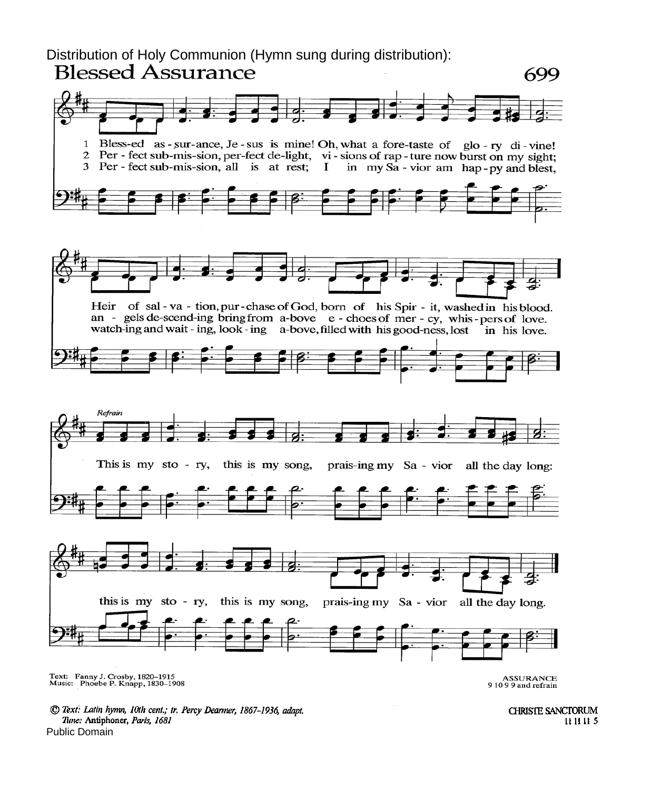Distribution of Holy Communion (Hymn sung during distribution):<br>Blessed Assurance



<sup>©</sup> Text: Latin hymn, 10th cent.; tr. Percy Dearmer, 1867-1936, adapt. Tune: Antiphoner, Paris, 1681 Public Domain

**CHRISTE SANCTORUM** 11 11 11 5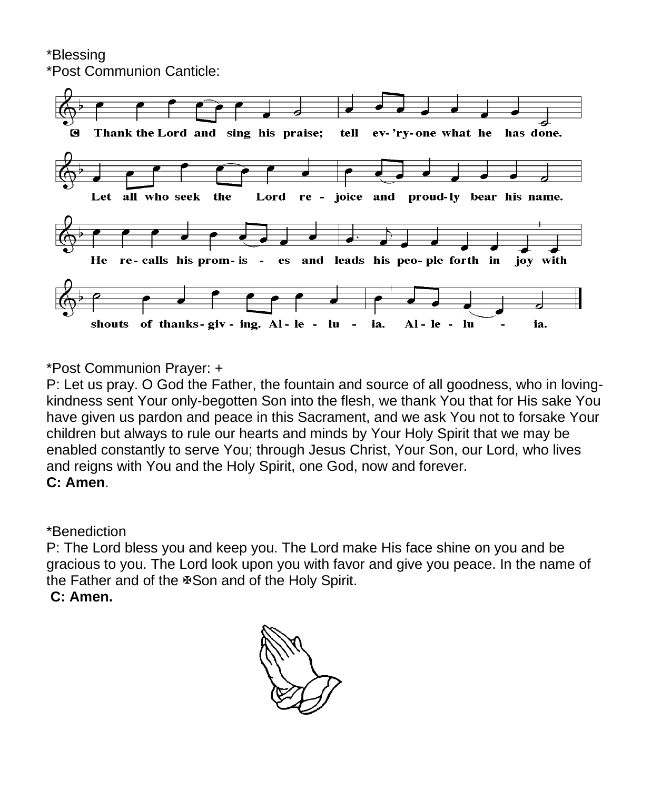\*Blessing

\*Post Communion Canticle:



\*Post Communion Prayer: +

P: Let us pray. O God the Father, the fountain and source of all goodness, who in lovingkindness sent Your only-begotten Son into the flesh, we thank You that for His sake You have given us pardon and peace in this Sacrament, and we ask You not to forsake Your children but always to rule our hearts and minds by Your Holy Spirit that we may be enabled constantly to serve You; through Jesus Christ, Your Son, our Lord, who lives and reigns with You and the Holy Spirit, one God, now and forever. **C: Amen**.

\*Benediction

P: The Lord bless you and keep you. The Lord make His face shine on you and be gracious to you. The Lord look upon you with favor and give you peace. In the name of the Father and of the  $\mathfrak s$ Son and of the Holy Spirit.

**C: Amen.**

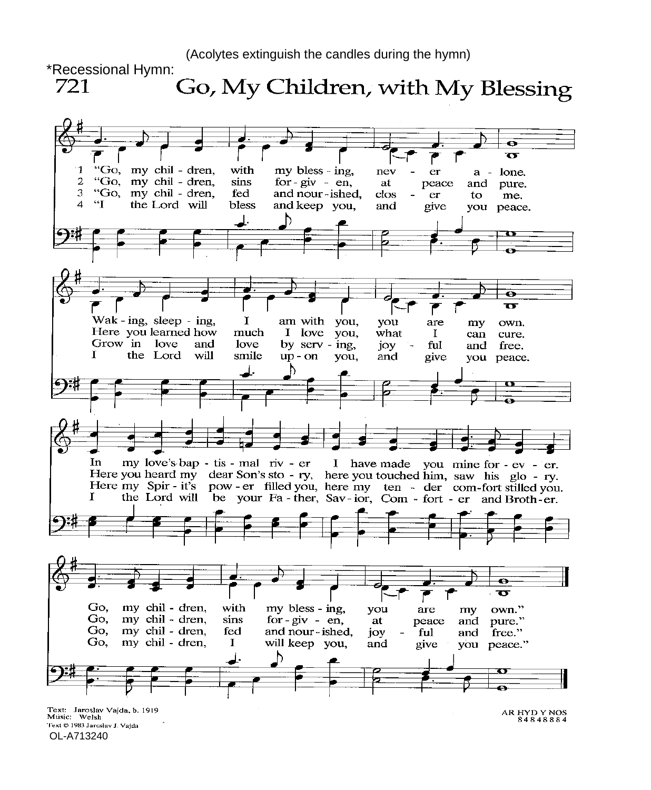(Acolytes extinguish the candles during the hymn)



Text @ 1983 Jaroslav J. Vajda OL-A713240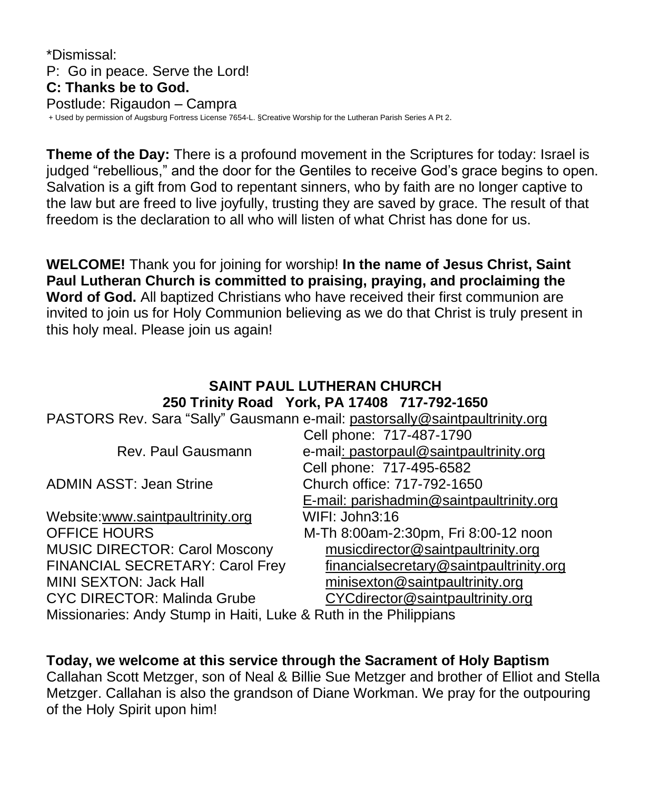\*Dismissal: P: Go in peace. Serve the Lord! **C: Thanks be to God.** Postlude: Rigaudon – Campra + Used by permission of Augsburg Fortress License 7654-L. §Creative Worship for the Lutheran Parish Series A Pt 2.

**Theme of the Day:** There is a profound movement in the Scriptures for today: Israel is judged "rebellious," and the door for the Gentiles to receive God's grace begins to open. Salvation is a gift from God to repentant sinners, who by faith are no longer captive to the law but are freed to live joyfully, trusting they are saved by grace. The result of that freedom is the declaration to all who will listen of what Christ has done for us.

**WELCOME!** Thank you for joining for worship! **In the name of Jesus Christ, Saint Paul Lutheran Church is committed to praising, praying, and proclaiming the Word of God.** All baptized Christians who have received their first communion are invited to join us for Holy Communion believing as we do that Christ is truly present in this holy meal. Please join us again!

#### **SAINT PAUL LUTHERAN CHURCH 250 Trinity Road York, PA 17408 717-792-1650**

| PASTORS Rev. Sara "Sally" Gausmann e-mail: pastorsally@saintpaultrinity.org |                                          |  |
|-----------------------------------------------------------------------------|------------------------------------------|--|
|                                                                             | Cell phone: 717-487-1790                 |  |
| Rev. Paul Gausmann                                                          | e-mail: pastorpaul@saintpaultrinity.org  |  |
|                                                                             | Cell phone: 717-495-6582                 |  |
| <b>ADMIN ASST: Jean Strine</b>                                              | Church office: 717-792-1650              |  |
|                                                                             | E-mail: parishadmin@saintpaultrinity.org |  |
| Website:www.saintpaultrinity.org                                            | WIFI: John3:16                           |  |
| <b>OFFICE HOURS</b>                                                         | M-Th 8:00am-2:30pm, Fri 8:00-12 noon     |  |
| <b>MUSIC DIRECTOR: Carol Moscony</b>                                        | musicdirector@saintpaultrinity.org       |  |
| FINANCIAL SECRETARY: Carol Frey                                             | financialsecretary@saintpaultrinity.org  |  |
| <b>MINI SEXTON: Jack Hall</b>                                               | minisexton@saintpaultrinity.org          |  |
| <b>CYC DIRECTOR: Malinda Grube</b>                                          | CYCdirector@saintpaultrinity.org         |  |
| Missionaries: Andy Stump in Haiti, Luke & Ruth in the Philippians           |                                          |  |

**Today, we welcome at this service through the Sacrament of Holy Baptism** Callahan Scott Metzger, son of Neal & Billie Sue Metzger and brother of Elliot and Stella Metzger. Callahan is also the grandson of Diane Workman. We pray for the outpouring of the Holy Spirit upon him!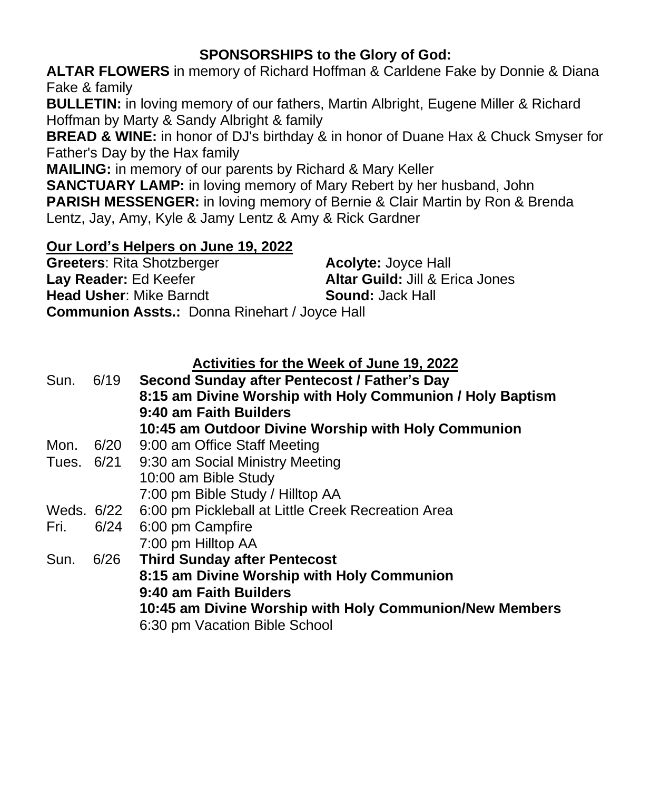## **SPONSORSHIPS to the Glory of God:**

**ALTAR FLOWERS** in memory of Richard Hoffman & Carldene Fake by Donnie & Diana Fake & family

**BULLETIN:** in loving memory of our fathers, Martin Albright, Eugene Miller & Richard Hoffman by Marty & Sandy Albright & family

**BREAD & WINE:** in honor of DJ's birthday & in honor of Duane Hax & Chuck Smyser for Father's Day by the Hax family

**MAILING:** in memory of our parents by Richard & Mary Keller

**SANCTUARY LAMP:** in loving memory of Mary Rebert by her husband, John **PARISH MESSENGER:** in loving memory of Bernie & Clair Martin by Ron & Brenda Lentz, Jay, Amy, Kyle & Jamy Lentz & Amy & Rick Gardner

#### **Our Lord's Helpers on June 19, 2022**

| <b>Greeters: Rita Shotzberger</b>                    | <b>Acolyte: Joyce Hall</b>                 |
|------------------------------------------------------|--------------------------------------------|
| Lay Reader: Ed Keefer                                | <b>Altar Guild: Jill &amp; Erica Jones</b> |
| <b>Head Usher: Mike Barndt</b>                       | <b>Sound:</b> Jack Hall                    |
| <b>Communion Assts.: Donna Rinehart / Joyce Hall</b> |                                            |

#### **Activities for the Week of June 19, 2022**

| Sun.       |      | 6/19 Second Sunday after Pentecost / Father's Day         |  |
|------------|------|-----------------------------------------------------------|--|
|            |      | 8:15 am Divine Worship with Holy Communion / Holy Baptism |  |
|            |      | 9:40 am Faith Builders                                    |  |
|            |      | 10:45 am Outdoor Divine Worship with Holy Communion       |  |
| Mon.       |      | 6/20 9:00 am Office Staff Meeting                         |  |
| Tues. 6/21 |      | 9:30 am Social Ministry Meeting                           |  |
|            |      | 10:00 am Bible Study                                      |  |
|            |      | 7:00 pm Bible Study / Hilltop AA                          |  |
| Weds. 6/22 |      | 6:00 pm Pickleball at Little Creek Recreation Area        |  |
| Fri.       | 6/24 | 6:00 pm Campfire                                          |  |
|            |      | 7:00 pm Hilltop AA                                        |  |
| Sun.       | 6/26 | <b>Third Sunday after Pentecost</b>                       |  |
|            |      | 8:15 am Divine Worship with Holy Communion                |  |
|            |      | 9:40 am Faith Builders                                    |  |
|            |      | 10:45 am Divine Worship with Holy Communion/New Members   |  |
|            |      | 6:30 pm Vacation Bible School                             |  |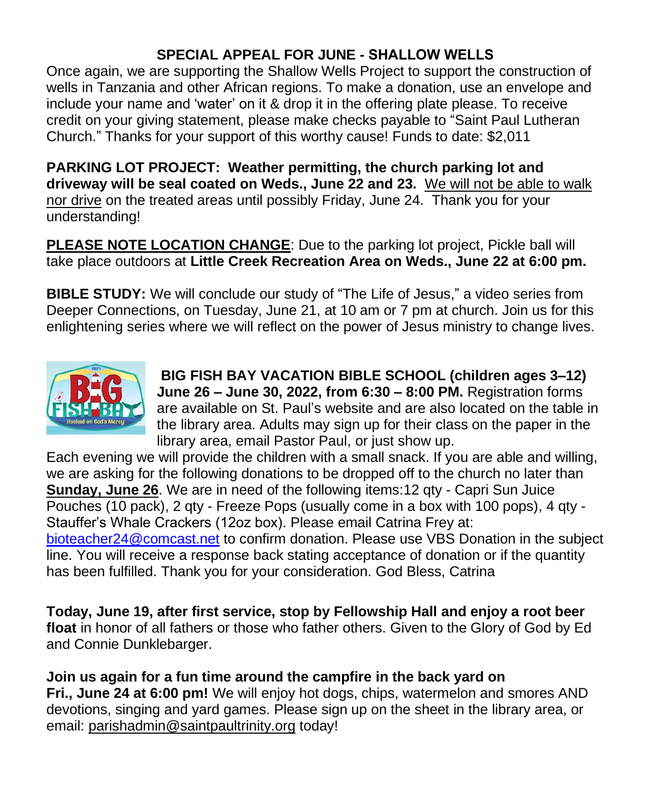## **SPECIAL APPEAL FOR JUNE - SHALLOW WELLS**

Once again, we are supporting the Shallow Wells Project to support the construction of wells in Tanzania and other African regions. To make a donation, use an envelope and include your name and 'water' on it & drop it in the offering plate please. To receive credit on your giving statement, please make checks payable to "Saint Paul Lutheran Church." Thanks for your support of this worthy cause! Funds to date: \$2,011

**PARKING LOT PROJECT: Weather permitting, the church parking lot and driveway will be seal coated on Weds., June 22 and 23.** We will not be able to walk nor drive on the treated areas until possibly Friday, June 24. Thank you for your understanding!

**PLEASE NOTE LOCATION CHANGE**: Due to the parking lot project, Pickle ball will take place outdoors at **Little Creek Recreation Area on Weds., June 22 at 6:00 pm.** 

**BIBLE STUDY:** We will conclude our study of "The Life of Jesus," a video series from Deeper Connections, on Tuesday, June 21, at 10 am or 7 pm at church. Join us for this enlightening series where we will reflect on the power of Jesus ministry to change lives.



**BIG FISH BAY VACATION BIBLE SCHOOL (children ages 3–12) June 26 – June 30, 2022, from 6:30 – 8:00 PM.** Registration forms are available on St. Paul's website and are also located on the table in the library area. Adults may sign up for their class on the paper in the library area, email Pastor Paul, or just show up.

Each evening we will provide the children with a small snack. If you are able and willing, we are asking for the following donations to be dropped off to the church no later than **Sunday, June 26**. We are in need of the following items:12 qty - Capri Sun Juice Pouches (10 pack), 2 qty - Freeze Pops (usually come in a box with 100 pops), 4 qty - Stauffer's Whale Crackers (12oz box). Please email Catrina Frey at: [bioteacher24@comcast.net](mailto:bioteacher24@comcast.net) to confirm donation. Please use VBS Donation in the subject line. You will receive a response back stating acceptance of donation or if the quantity has been fulfilled. Thank you for your consideration. God Bless, Catrina

**Today, June 19, after first service, stop by Fellowship Hall and enjoy a root beer float** in honor of all fathers or those who father others. Given to the Glory of God by Ed and Connie Dunklebarger.

**Join us again for a fun time around the campfire in the back yard on Fri., June 24 at 6:00 pm!** We will enjoy hot dogs, chips, watermelon and smores AND devotions, singing and yard games. Please sign up on the sheet in the library area, or email: [parishadmin@saintpaultrinity.org](mailto:parishadmin@saintpaultrinity.org) today!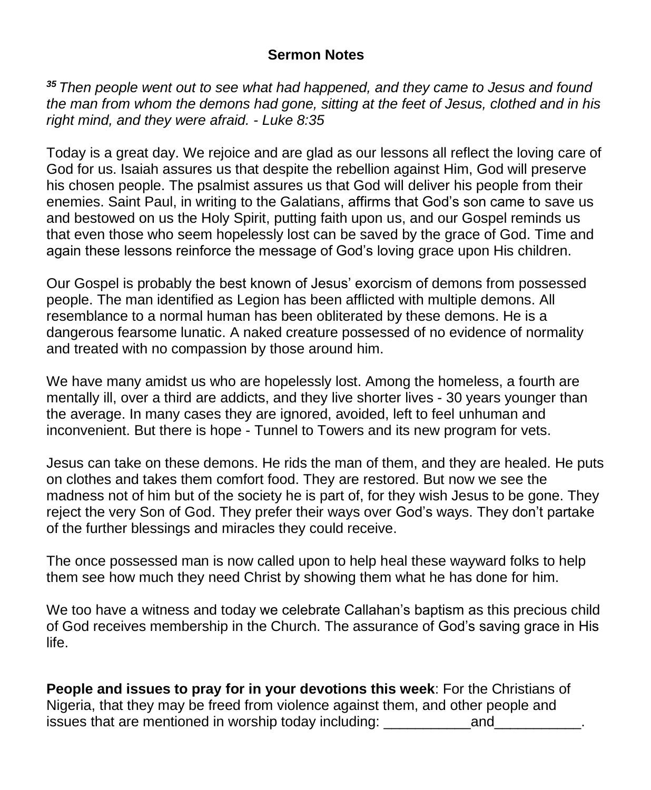#### **Sermon Notes**

*<sup>35</sup> Then people went out to see what had happened, and they came to Jesus and found the man from whom the demons had gone, sitting at the feet of Jesus, clothed and in his right mind, and they were afraid. - Luke 8:35*

Today is a great day. We rejoice and are glad as our lessons all reflect the loving care of God for us. Isaiah assures us that despite the rebellion against Him, God will preserve his chosen people. The psalmist assures us that God will deliver his people from their enemies. Saint Paul, in writing to the Galatians, affirms that God's son came to save us and bestowed on us the Holy Spirit, putting faith upon us, and our Gospel reminds us that even those who seem hopelessly lost can be saved by the grace of God. Time and again these lessons reinforce the message of God's loving grace upon His children.

Our Gospel is probably the best known of Jesus' exorcism of demons from possessed people. The man identified as Legion has been afflicted with multiple demons. All resemblance to a normal human has been obliterated by these demons. He is a dangerous fearsome lunatic. A naked creature possessed of no evidence of normality and treated with no compassion by those around him.

We have many amidst us who are hopelessly lost. Among the homeless, a fourth are mentally ill, over a third are addicts, and they live shorter lives - 30 years younger than the average. In many cases they are ignored, avoided, left to feel unhuman and inconvenient. But there is hope - Tunnel to Towers and its new program for vets.

Jesus can take on these demons. He rids the man of them, and they are healed. He puts on clothes and takes them comfort food. They are restored. But now we see the madness not of him but of the society he is part of, for they wish Jesus to be gone. They reject the very Son of God. They prefer their ways over God's ways. They don't partake of the further blessings and miracles they could receive.

The once possessed man is now called upon to help heal these wayward folks to help them see how much they need Christ by showing them what he has done for him.

We too have a witness and today we celebrate Callahan's baptism as this precious child of God receives membership in the Church. The assurance of God's saving grace in His life.

**People and issues to pray for in your devotions this week**: For the Christians of Nigeria, that they may be freed from violence against them, and other people and issues that are mentioned in worship today including: \_\_\_\_\_\_\_\_\_\_\_and\_\_\_\_\_\_\_\_\_\_\_.